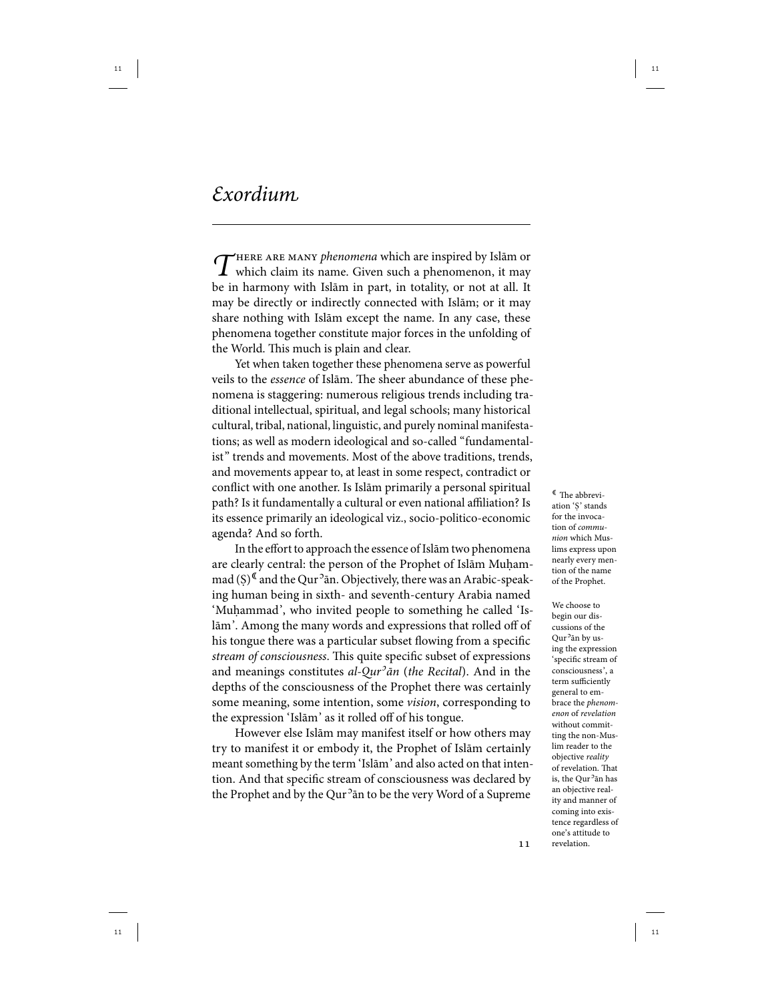$\int$ HERE ARE MANY phenomena which are inspired by Islām or which claim its name. Given such a phenomenon, it may be in harmony with Islām in part, in totality, or not at all. It may be directly or indirectly connected with Islām; or it may share nothing with Islām except the name. In any case, these phenomena together constitute major forces in the unfolding of the World. This much is plain and clear.

Yet when taken together these phenomena serve as powerful veils to the essence of Islām. The sheer abundance of these phenomena is staggering: numerous religious trends including traditional intellectual, spiritual, and legal schools; many historical cultural, tribal, national, linguistic, and purely nominal manifestations; as well as modern ideological and so-called "fundamentalist" trends and movements. Most of the above traditions, trends, and movements appear to, at least in some respect, contradict or conflict with one another. Is Islām primarily a personal spiritual path? Is it fundamentally a cultural or even national affiliation? Is its essence primarily an ideological viz., socio-politico-economic agenda? And so forth.

In the effort to approach the essence of Islām two phenomena are clearly central: the person of the Prophet of Islām Muḥammad (S)<sup>I</sup> and the Qur<sup>2</sup>an. Objectively, there was an Arabic-speaking human being in sixth- and seventh-century Arabia named 'Muhammad', who invited people to something he called 'Islām'. Among the many words and expressions that rolled off of his tongue there was a particular subset flowing from a specific stream of consciousness. This quite specific subset of expressions and meanings constitutes *al-Qur<sup>3</sup>ān (the Recital*). And in the depths of the consciousness of the Prophet there was certainly some meaning, some intention, some *vision*, corresponding to the expression 'Islām' as it rolled off of his tongue.

However else Islām may manifest itself or how others may try to manifest it or embody it, the Prophet of Islām certainly meant something by the term 'Islām' and also acted on that intention. And that specific stream of consciousness was declared by the Prophet and by the Qur<sup>5</sup>ān to be the very Word of a Supreme

 The abbreviation 'Ṣ' stands for the invocation of communion which Muslims express upon nearly every mention of the name of the Prophet.

We choose to begin our discussions of the Qur<sup>o</sup>ān by using the expression 'specific stream of consciousness', a term sufficiently general to embrace the phenomenon of revelation without committing the non-Muslim reader to the objective reality of revelation. That is, the Qur<sup>5</sup>ān has an objective reality and manner of coming into existence regardless of one's attitude to revelation.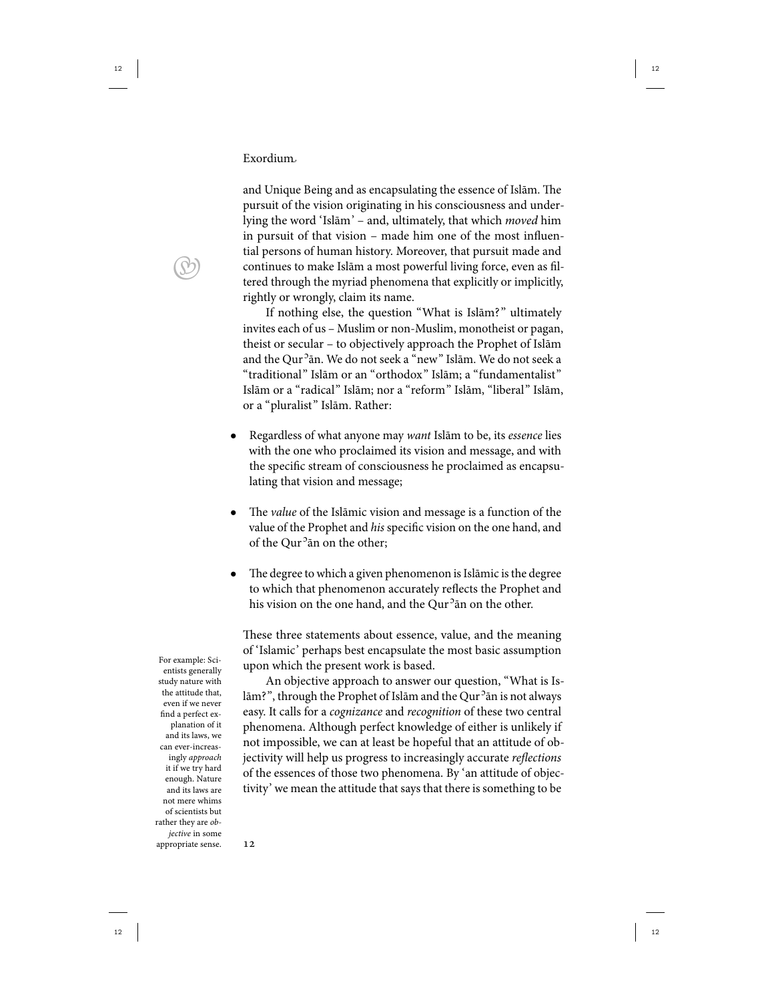and Unique Being and as encapsulating the essence of Islām. The pursuit of the vision originating in his consciousness and underlying the word 'Islām' – and, ultimately, that which moved him in pursuit of that vision – made him one of the most influential persons of human history. Moreover, that pursuit made and continues to make Islām a most powerful living force, even as filtered through the myriad phenomena that explicitly or implicitly, rightly or wrongly, claim its name.

If nothing else, the question "What is Islām?" ultimately invites each of us – Muslim or non-Muslim, monotheist or pagan, theist or secular – to objectively approach the Prophet of Islām and the Qur<sup>5</sup>ān. We do not seek a "new" Islām. We do not seek a "traditional" Islām or an "orthodox" Islām; a "fundamentalist" Islām or a "radical" Islām; nor a "reform" Islām, "liberal" Islām, or a "pluralist" Islām. Rather:

- Regardless of what anyone may want Islām to be, its essence lies with the one who proclaimed its vision and message, and with the specific stream of consciousness he proclaimed as encapsulating that vision and message;
- The *value* of the Islāmic vision and message is a function of the value of the Prophet and his specific vision on the one hand, and of the Qur<sup>5</sup> an on the other;
- The degree to which a given phenomenon is Islāmic is the degree to which that phenomenon accurately reflects the Prophet and his vision on the one hand, and the Qur<sup>5</sup>ān on the other.

These three statements about essence, value, and the meaning of 'Islamic' perhaps best encapsulate the most basic assumption For example: Sci-<br>upon which the present work is based.

> An objective approach to answer our question, "What is Islām?", through the Prophet of Islām and the Qur<sup>5</sup>ān is not always easy. It calls for a cognizance and recognition of these two central phenomena. Although perfect knowledge of either is unlikely if not impossible, we can at least be hopeful that an attitude of objectivity will help us progress to increasingly accurate reflections of the essences of those two phenomena. By 'an attitude of objectivity' we mean the attitude that says that there is something to be

 $\bigcirc$ 

entists generally study nature with the attitude that, even if we never find a perfect explanation of it and its laws, we can ever-increasingly approach it if we try hard enough. Nature and its laws are not mere whims of scientists but rather they are objective in some appropriate sense.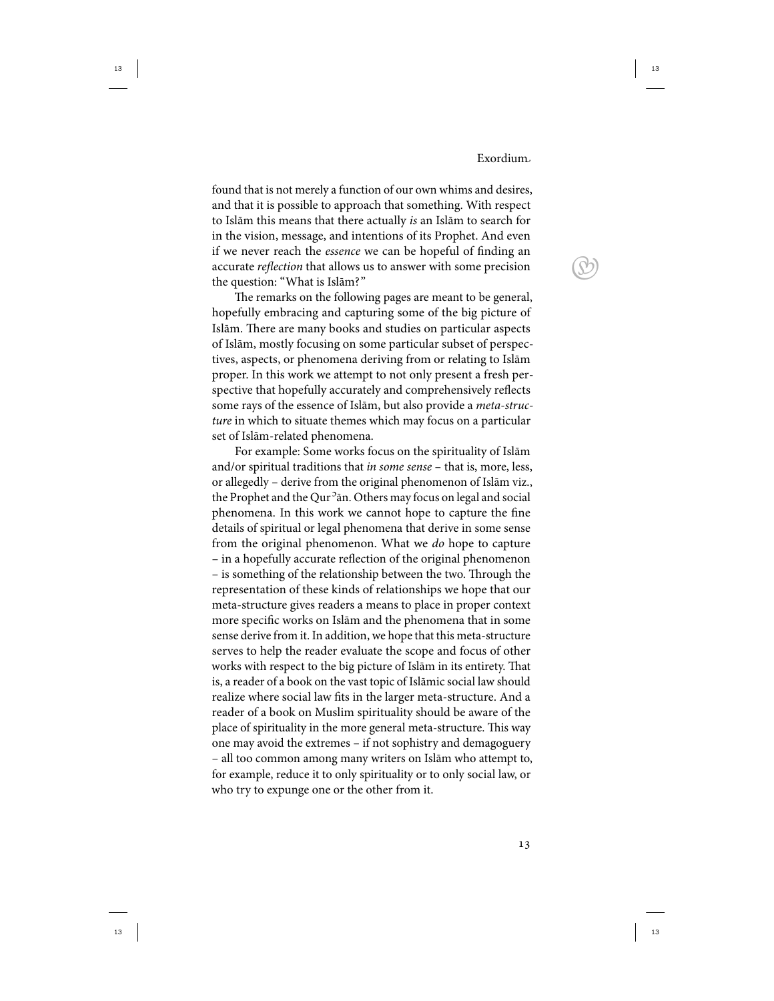$\bigcirc$ 

found that is not merely a function of our own whims and desires, and that it is possible to approach that something. With respect to Islām this means that there actually is an Islām to search for in the vision, message, and intentions of its Prophet. And even if we never reach the essence we can be hopeful of finding an accurate reflection that allows us to answer with some precision the question: "What is Islām?"

The remarks on the following pages are meant to be general, hopefully embracing and capturing some of the big picture of Islām. There are many books and studies on particular aspects of Islām, mostly focusing on some particular subset of perspectives, aspects, or phenomena deriving from or relating to Islām proper. In this work we attempt to not only present a fresh perspective that hopefully accurately and comprehensively reflects some rays of the essence of Islām, but also provide a meta-structure in which to situate themes which may focus on a particular set of Islām-related phenomena.

For example: Some works focus on the spirituality of Islām and/or spiritual traditions that in some sense - that is, more, less, or allegedly – derive from the original phenomenon of Islām viz., the Prophet and the Qur<sup>5</sup>ān. Others may focus on legal and social phenomena. In this work we cannot hope to capture the fine details of spiritual or legal phenomena that derive in some sense from the original phenomenon. What we do hope to capture – in a hopefully accurate reflection of the original phenomenon – is something of the relationship between the two. Through the representation of these kinds of relationships we hope that our meta-structure gives readers a means to place in proper context more specific works on Islām and the phenomena that in some sense derive from it. In addition, we hope that this meta-structure serves to help the reader evaluate the scope and focus of other works with respect to the big picture of Islām in its entirety. That is, a reader of a book on the vast topic of Islāmic social law should realize where social law fits in the larger meta-structure. And a reader of a book on Muslim spirituality should be aware of the place of spirituality in the more general meta-structure. This way one may avoid the extremes – if not sophistry and demagoguery – all too common among many writers on Islām who attempt to, for example, reduce it to only spirituality or to only social law, or who try to expunge one or the other from it.

 $13$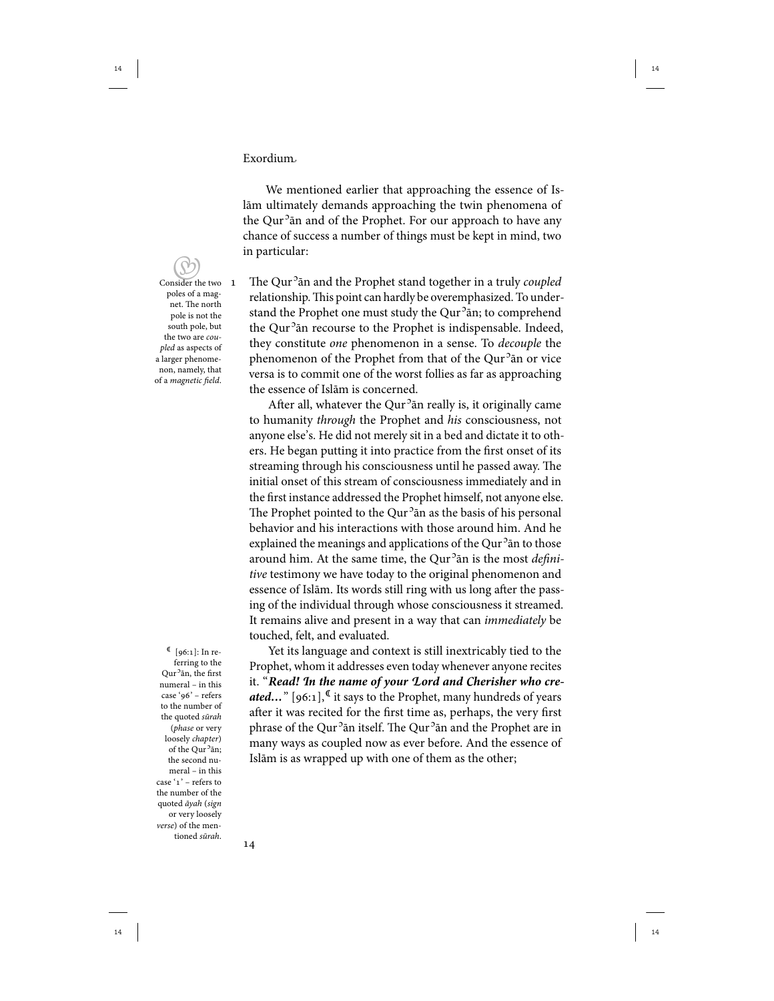We mentioned earlier that approaching the essence of Islām ultimately demands approaching the twin phenomena of the Qur<sup>5</sup>ān and of the Prophet. For our approach to have any chance of success a number of things must be kept in mind, two in particular:

 Consider the two poles of a magnet. The north pole is not the south pole, but the two are coupled as aspects of a larger phenomenon, namely, that of a magnetic field.

 $[96:1]:$  In referring to the Qur<sup>o</sup>ān, the first numeral – in this case '96' – refers to the number of the quoted sūrah (phase or very loosely chapter) of the Qur<sup>5</sup>ān; the second numeral – in this case ' $1$ ' – refers to the number of the quoted āyah (sign or very loosely verse) of the mentioned sūrah.

1 The Qur<sup>2</sup> an and the Prophet stand together in a truly coupled relationship. This point can hardly be overemphasized. To understand the Prophet one must study the Qur<sup>5</sup>ān; to comprehend the Qur<sup>5</sup>ān recourse to the Prophet is indispensable. Indeed, they constitute one phenomenon in a sense. To decouple the phenomenon of the Prophet from that of the Qur<sup>5</sup>ān or vice versa is to commit one of the worst follies as far as approaching the essence of Islām is concerned.

After all, whatever the Qur<sup>5</sup>ān really is, it originally came to humanity through the Prophet and his consciousness, not anyone else's. He did not merely sit in a bed and dictate it to others. He began putting it into practice from the first onset of its streaming through his consciousness until he passed away. The initial onset of this stream of consciousness immediately and in the first instance addressed the Prophet himself, not anyone else. The Prophet pointed to the Qur<sup>5</sup>ān as the basis of his personal behavior and his interactions with those around him. And he explained the meanings and applications of the Qur<sup>5</sup>ān to those around him. At the same time, the Qur<sup>5</sup>ān is the most *defini*tive testimony we have today to the original phenomenon and essence of Islām. Its words still ring with us long after the passing of the individual through whose consciousness it streamed. It remains alive and present in a way that can *immediately* be touched, felt, and evaluated.

Yet its language and context is still inextricably tied to the Prophet, whom it addresses even today whenever anyone recites it. "**Read! In the name of your Lord and Cherisher who created...**" [96:1],<sup>C</sup> it says to the Prophet, many hundreds of years after it was recited for the first time as, perhaps, the very first phrase of the Qur<sup>5</sup>ān itself. The Qur<sup>5</sup>ān and the Prophet are in many ways as coupled now as ever before. And the essence of Islām is as wrapped up with one of them as the other;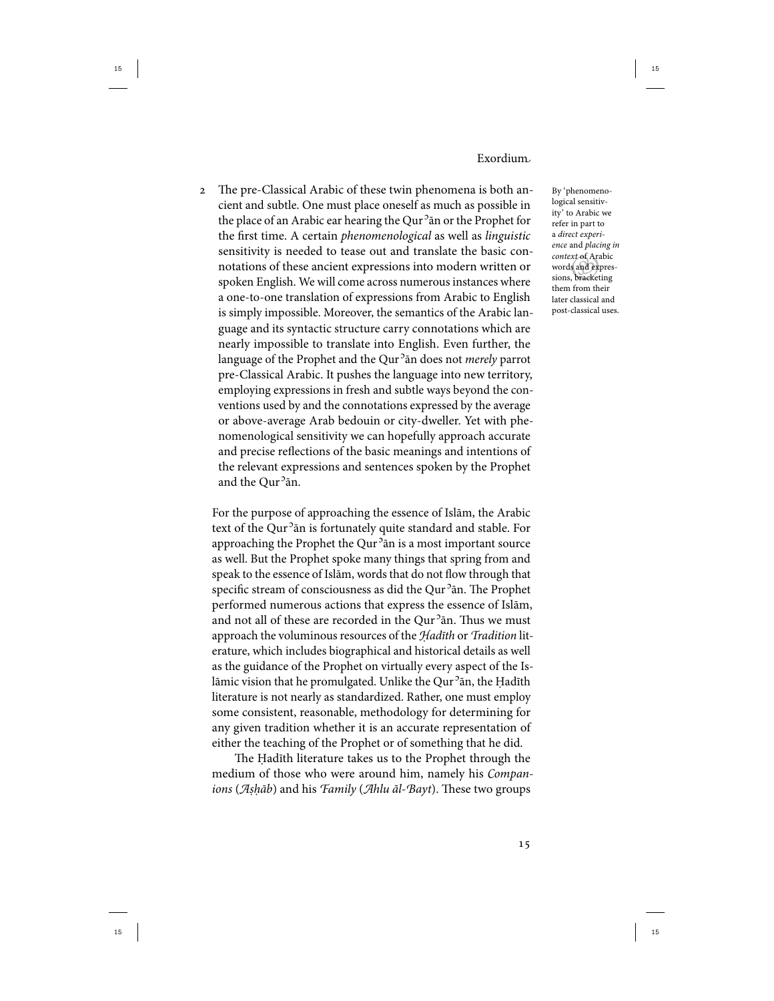The pre-Classical Arabic of these twin phenomena is both ancient and subtle. One must place oneself as much as possible in the place of an Arabic ear hearing the Qur<sup>5</sup>ān or the Prophet for the first time. A certain phenomenological as well as linguistic sensitivity is needed to tease out and translate the basic connotations of these ancient expressions into modern written or spoken English. We will come across numerous instances where a one-to-one translation of expressions from Arabic to English is simply impossible. Moreover, the semantics of the Arabic language and its syntactic structure carry connotations which are nearly impossible to translate into English. Even further, the language of the Prophet and the Qur<sup>5</sup>ān does not *merely* parrot pre-Classical Arabic. It pushes the language into new territory, employing expressions in fresh and subtle ways beyond the conventions used by and the connotations expressed by the average or above-average Arab bedouin or city-dweller. Yet with phenomenological sensitivity we can hopefully approach accurate and precise reflections of the basic meanings and intentions of the relevant expressions and sentences spoken by the Prophet and the Qur<sup>5</sup>ān.

For the purpose of approaching the essence of Islām, the Arabic text of the Qur<sup>5</sup>ān is fortunately quite standard and stable. For approaching the Prophet the Qur<sup>5</sup>ān is a most important source as well. But the Prophet spoke many things that spring from and speak to the essence of Islām, words that do not flow through that specific stream of consciousness as did the Qur<sup>2</sup>ān. The Prophet performed numerous actions that express the essence of Islām, and not all of these are recorded in the Qur<sup>5</sup>ān. Thus we must approach the voluminous resources of the Hadīth or Tradition literature, which includes biographical and historical details as well as the guidance of the Prophet on virtually every aspect of the Islāmic vision that he promulgated. Unlike the Qur<sup>2</sup>ān, the Ḥadīth literature is not nearly as standardized. Rather, one must employ some consistent, reasonable, methodology for determining for any given tradition whether it is an accurate representation of either the teaching of the Prophet or of something that he did.

The Ḥadīth literature takes us to the Prophet through the medium of those who were around him, namely his Companions (Aṣḥāb) and his Family (Ahlu ãl-Bayt). These two groups

words and expressions, bracketing By 'phenomenological sensitivity' to Arabic we refer in part to a direct experience and placing in context of Arabic words and expresthem from their later classical and post-classical uses.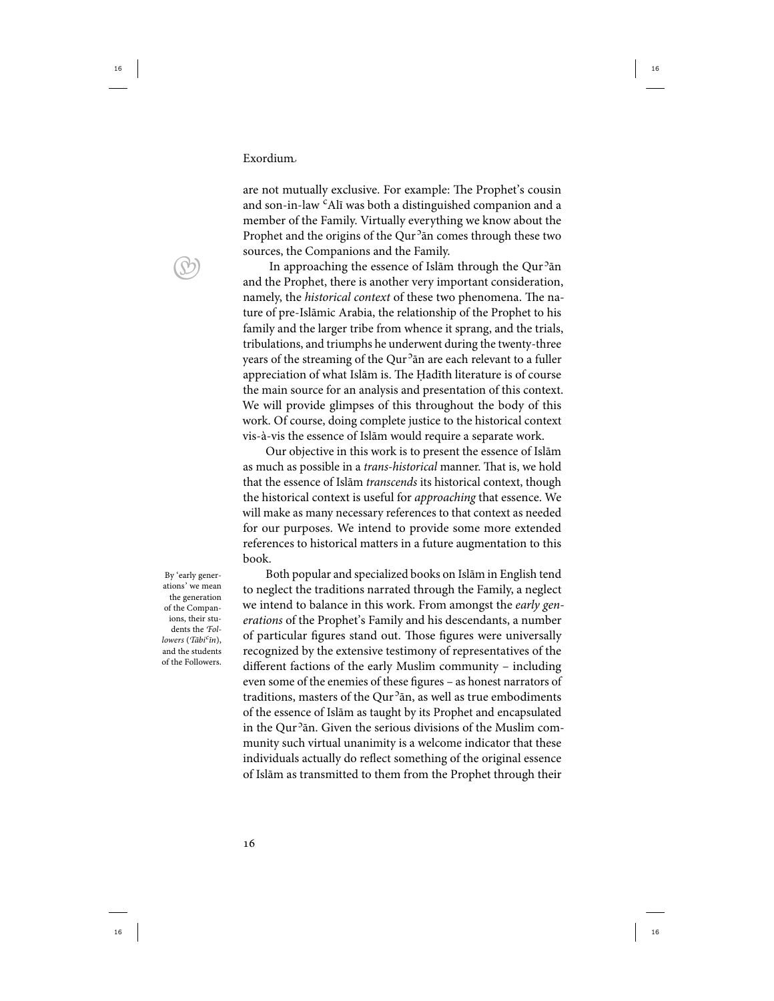are not mutually exclusive. For example: The Prophet's cousin and son-in-law <sup>c</sup>Alī was both a distinguished companion and a member of the Family. Virtually everything we know about the Prophet and the origins of the Qur<sup>5</sup>ān comes through these two sources, the Companions and the Family.

In approaching the essence of Islām through the Qur<sup>5</sup>ān and the Prophet, there is another very important consideration, namely, the historical context of these two phenomena. The nature of pre-Islāmic Arabia, the relationship of the Prophet to his family and the larger tribe from whence it sprang, and the trials, tribulations, and triumphs he underwent during the twenty-three years of the streaming of the Qur<sup>5</sup>ān are each relevant to a fuller appreciation of what Islām is. The Ḥadīth literature is of course the main source for an analysis and presentation of this context. We will provide glimpses of this throughout the body of this work. Of course, doing complete justice to the historical context vis-à-vis the essence of Islām would require a separate work.

Our objective in this work is to present the essence of Islām as much as possible in a trans-historical manner. That is, we hold that the essence of Islām transcends its historical context, though the historical context is useful for approaching that essence. We will make as many necessary references to that context as needed for our purposes. We intend to provide some more extended references to historical matters in a future augmentation to this book.

By 'early generations' we mean the generation of the Companions, their students the Followers (Tābi<sup>c</sup>īn), and the students of the Followers.

Both popular and specialized books on Islām in English tend to neglect the traditions narrated through the Family, a neglect we intend to balance in this work. From amongst the early generations of the Prophet's Family and his descendants, a number of particular figures stand out. Those figures were universally recognized by the extensive testimony of representatives of the different factions of the early Muslim community – including even some of the enemies of these figures – as honest narrators of traditions, masters of the Qur<sup>5</sup>ān, as well as true embodiments of the essence of Islām as taught by its Prophet and encapsulated in the Qur<sup>5</sup>ān. Given the serious divisions of the Muslim community such virtual unanimity is a welcome indicator that these individuals actually do reflect something of the original essence of Islām as transmitted to them from the Prophet through their

 $\bigcirc$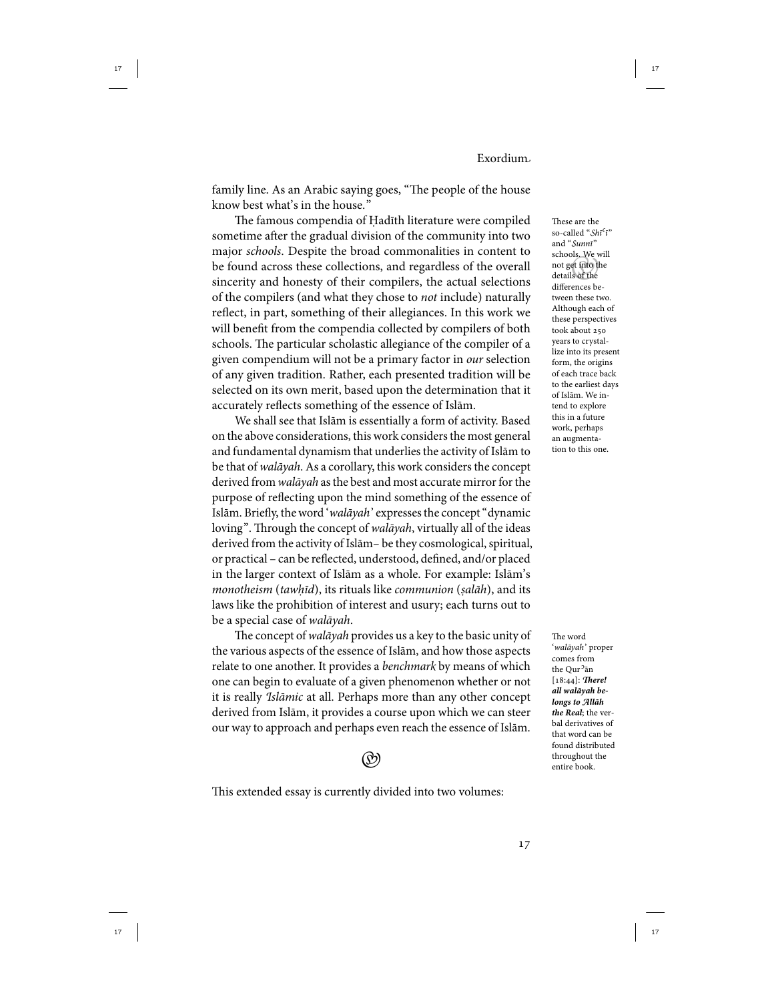family line. As an Arabic saying goes, "The people of the house know best what's in the house."

The famous compendia of Ḥadīth literature were compiled sometime after the gradual division of the community into two major schools. Despite the broad commonalities in content to be found across these collections, and regardless of the overall sincerity and honesty of their compilers, the actual selections of the compilers (and what they chose to not include) naturally reflect, in part, something of their allegiances. In this work we will benefit from the compendia collected by compilers of both schools. The particular scholastic allegiance of the compiler of a given compendium will not be a primary factor in our selection of any given tradition. Rather, each presented tradition will be selected on its own merit, based upon the determination that it accurately reflects something of the essence of Islām.

We shall see that Islām is essentially a form of activity. Based on the above considerations, this work considers the most general and fundamental dynamism that underlies the activity of Islām to be that of walāyah. As a corollary, this work considers the concept derived from walāyah as the best and most accurate mirror for the purpose of reflecting upon the mind something of the essence of Islām. Briefly, the word 'walāyah' expresses the concept "dynamic loving". Through the concept of walāyah, virtually all of the ideas derived from the activity of Islām- be they cosmological, spiritual, or practical – can be reflected, understood, defined, and/or placed in the larger context of Islām as a whole. For example: Islām's monotheism (tawhīd), its rituals like communion (salāh), and its laws like the prohibition of interest and usury; each turns out to be a special case of walāyah.

The concept of walāyah provides us a key to the basic unity of the various aspects of the essence of Islām, and how those aspects relate to one another. It provides a benchmark by means of which one can begin to evaluate of a given phenomenon whether or not it is really Islāmic at all. Perhaps more than any other concept derived from Islām, it provides a course upon which we can steer our way to approach and perhaps even reach the essence of Islām.



This extended essay is currently divided into two volumes:

 not get into the These are the so-called "Shī<sup>c</sup>ī" and "Sunnī" schools. We will details of the differences between these two. Although each of these perspectives took about years to crystallize into its present form, the origins of each trace back to the earliest days of Islām. We intend to explore this in a future work, perhaps an augmentation to this one.

The word 'walāyah' proper comes from the Qur<sup>5</sup>ān [18:44]: There! **all walāyah belongs to Allāh the Real**; the verbal derivatives of that word can be found distributed throughout the entire book.